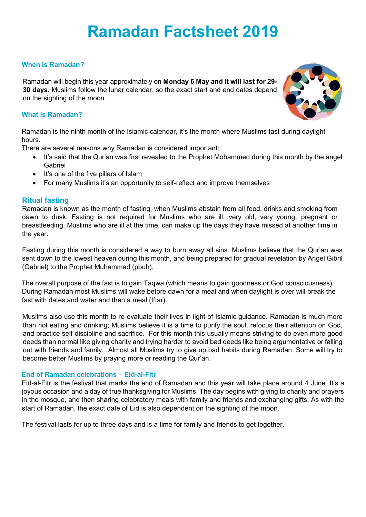# **Ramadan Factsheet 2019**

## **When is Ramadan?**

Ramadan will begin this year approximately on **Monday 6 May and it will last for 29- 30 days**. Muslims follow the lunar calendar, so the exact start and end dates depend on the sighting of the moon.

## **What is Ramadan?**

Ramadan is the ninth month of the Islamic calendar, it's the month where Muslims fast during daylight hours.

There are several reasons why Ramadan is considered important:

- It's said that the Qur'an was first revealed to the Prophet Mohammed during this month by the angel Gabriel
- It's one of the five pillars of Islam
- For many Muslims it's an opportunity to self-reflect and improve themselves

## **Ritual fasting**

Ramadan is known as the month of fasting, when Muslims abstain from all food, drinks and smoking from dawn to dusk. Fasting is not required for Muslims who are ill, very old, very young, pregnant or breastfeeding. Muslims who are ill at the time, can make up the days they have missed at another time in the year.

Fasting during this month is considered a way to burn away all sins. Muslims believe that the Qur'an was sent down to the lowest heaven during this month, and being prepared for gradual revelation by Angel Gibril (Gabriel) to the Prophet Muhammad (pbuh).

The overall purpose of the fast is to gain Taqwa (which means to gain goodness or God consciousness). During Ramadan most Muslims will wake before dawn for a meal and when daylight is over will break the fast with dates and water and then a meal (Iftar).

Muslims also use this month to re-evaluate their lives in light of Islamic guidance. Ramadan is much more than not eating and drinking; Muslims believe it is a time to purify the soul, refocus their attention on God, and practice self-discipline and sacrifice. For this month this usually means striving to do even more good deeds than normal like giving charity and trying harder to avoid bad deeds like being argumentative or falling out with friends and family. Almost all Muslims try to give up bad habits during Ramadan. Some will try to become better Muslims by praying more or reading the Qur'an.

## **End of Ramadan celebrations – Eid-al-Fitr**

Eid-al-Fitr is the festival that marks the end of Ramadan and this year will take place around 4 June. It's a joyous occasion and a day of true thanksgiving for Muslims. The day begins with giving to charity and prayers in the mosque, and then sharing celebratory meals with family and friends and exchanging gifts. As with the start of Ramadan, the exact date of Eid is also dependent on the sighting of the moon.

The festival lasts for up to three days and is a time for family and friends to get together.